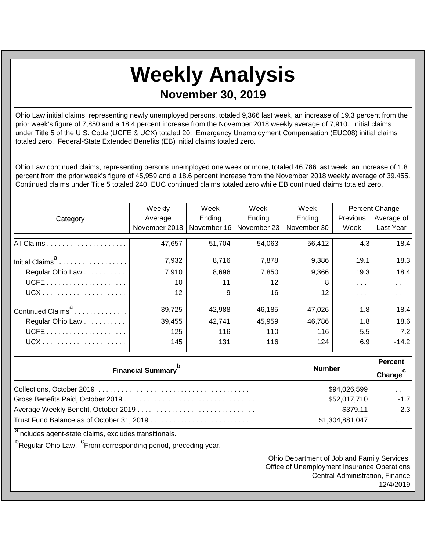## **Weekly Analysis**

**November 30, 2019**

Ohio Law initial claims, representing newly unemployed persons, totaled 9,366 last week, an increase of 19.3 percent from the prior week's figure of 7,850 and a 18.4 percent increase from the November 2018 weekly average of 7,910. Initial claims under Title 5 of the U.S. Code (UCFE & UCX) totaled 20. Emergency Unemployment Compensation (EUC08) initial claims totaled zero. Federal-State Extended Benefits (EB) initial claims totaled zero.

Ohio Law continued claims, representing persons unemployed one week or more, totaled 46,786 last week, an increase of 1.8 percent from the prior week's figure of 45,959 and a 18.6 percent increase from the November 2018 weekly average of 39,455. Continued claims under Title 5 totaled 240. EUC continued claims totaled zero while EB continued claims totaled zero.

|                                                                             | Weekly              | Week<br>Week |             | Week          |            | Percent Change |
|-----------------------------------------------------------------------------|---------------------|--------------|-------------|---------------|------------|----------------|
| Category                                                                    | Average             | Ending       | Ending      | Ending        | Previous   | Average of     |
|                                                                             | November 2018       | November 16  | November 23 | November 30   | Week       | Last Year      |
|                                                                             | 47,657              | 51,704       | 54,063      | 56,412        | 4.3        | 18.4           |
| Initial Claims <sup>a</sup>                                                 | 7,932               | 8,716        | 7,878       | 9,386         | 19.1       | 18.3           |
| Regular Ohio Law                                                            | 7,910               | 8,696        | 7,850       | 9,366         | 19.3       | 18.4           |
|                                                                             | 10                  | 11           | 12          | 8             | $\sim 100$ | $\sim$ .       |
|                                                                             | 12                  | 9            | 16          | 12            | $\sim 100$ | .              |
| Continued Claims <sup>a</sup>                                               | 39,725              | 42,988       | 46,185      | 47,026        | 1.8        | 18.4           |
| Regular Ohio Law                                                            | 39,455              | 42,741       | 45,959      | 46,786        | 1.8        | 18.6           |
|                                                                             | 125                 | 116          | 110         | 116           | 5.5        | $-7.2$         |
|                                                                             | 145                 | 131          | 116         | 124           | 6.9        | $-14.2$        |
|                                                                             |                     |              |             | <b>Number</b> |            | <b>Percent</b> |
| <b>Financial Summary</b>                                                    | Change <sup>c</sup> |              |             |               |            |                |
|                                                                             | \$94,026,599        |              | .           |               |            |                |
|                                                                             | \$52,017,710        |              | $-1.7$      |               |            |                |
|                                                                             | \$379.11            |              | 2.3         |               |            |                |
| $\overline{a}$ , it is a set of $\overline{a}$ is the set of $\overline{a}$ | \$1,304,881,047     |              | $\cdots$    |               |            |                |

<sup>a</sup>Includes agent-state claims, excludes transitionals.

<sup>D</sup>Regular Ohio Law. <sup>C</sup>From corresponding period, preceding year.

Ohio Department of Job and Family Services Office of Unemployment Insurance Operations Central Administration, Finance 12/4/2019